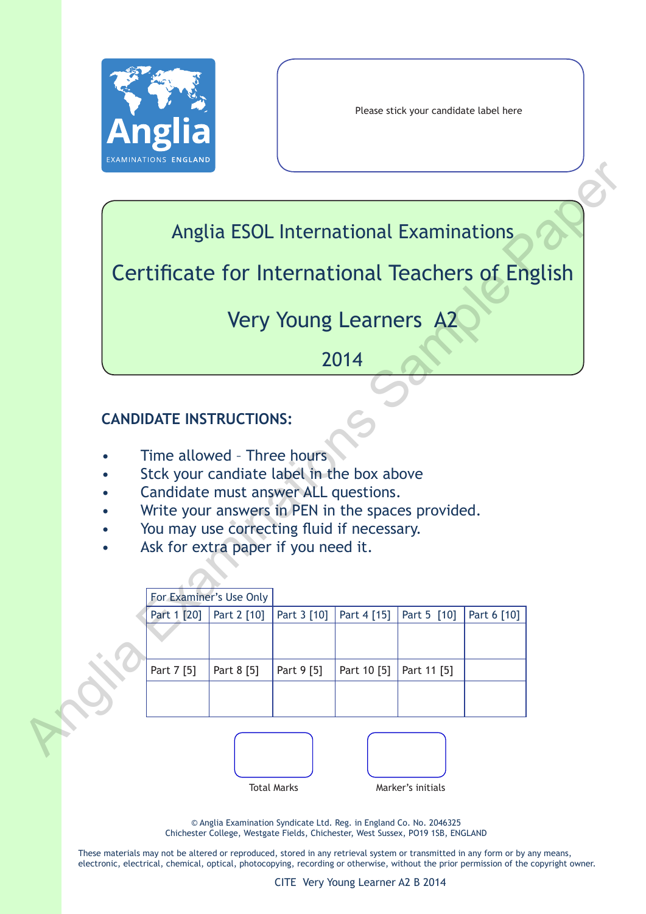

Please stick your candidate label here

# Anglia ESOL International Examinations

# Very Young Learners A2

# 2014

# **CANDIDATE INSTRUCTIONS:**

- Time allowed Three hours
- Stck your candiate label in the box above
- Candidate must answer ALL questions.
- Write your answers in PEN in the spaces provided.
- You may use correcting fluid if necessary.
- Ask for extra paper if you need it.

|           |                                                                         |                         |             |             | Anglia ESOL International Examinations |             |  |
|-----------|-------------------------------------------------------------------------|-------------------------|-------------|-------------|----------------------------------------|-------------|--|
|           | Certificate for International Teachers of English                       |                         |             |             |                                        |             |  |
|           |                                                                         |                         |             |             | <b>Very Young Learners A2</b>          |             |  |
|           |                                                                         |                         |             | 2014        |                                        |             |  |
|           |                                                                         |                         |             |             |                                        |             |  |
|           | <b>CANDIDATE INSTRUCTIONS:</b>                                          |                         |             |             |                                        |             |  |
|           |                                                                         |                         |             |             |                                        |             |  |
|           | Time allowed - Three hours<br>Stck your candiate label in the box above |                         |             |             |                                        |             |  |
|           | Candidate must answer ALL questions.                                    |                         |             |             |                                        |             |  |
| $\bullet$ | Write your answers in PEN in the spaces provided.                       |                         |             |             |                                        |             |  |
| $\bullet$ | You may use correcting fluid if necessary.                              |                         |             |             |                                        |             |  |
|           | Ask for extra paper if you need it.                                     |                         |             |             |                                        |             |  |
|           |                                                                         |                         |             |             |                                        |             |  |
|           |                                                                         |                         |             |             |                                        |             |  |
|           |                                                                         | For Examiner's Use Only |             |             |                                        |             |  |
|           | Part 1 [20]                                                             | Part 2 [10]             | Part 3 [10] | Part 4 [15] | Part 5 [10]                            | Part 6 [10] |  |
|           |                                                                         |                         |             |             |                                        |             |  |
|           |                                                                         |                         |             |             |                                        |             |  |
|           | Part 7 [5]                                                              | Part 8 [5]              | Part 9 [5]  | Part 10 [5] | Part 11 [5]                            |             |  |
|           |                                                                         |                         |             |             |                                        |             |  |
|           |                                                                         |                         |             |             |                                        |             |  |
|           |                                                                         |                         |             |             |                                        |             |  |





© Anglia Examination Syndicate Ltd. Reg. in England Co. No. 2046325 Chichester College, Westgate Fields, Chichester, West Sussex, PO19 1SB, ENGLAND

These materials may not be altered or reproduced, stored in any retrieval system or transmitted in any form or by any means, electronic, electrical, chemical, optical, photocopying, recording or otherwise, without the prior permission of the copyright owner.

CITE Very Young Learner A2 B 2014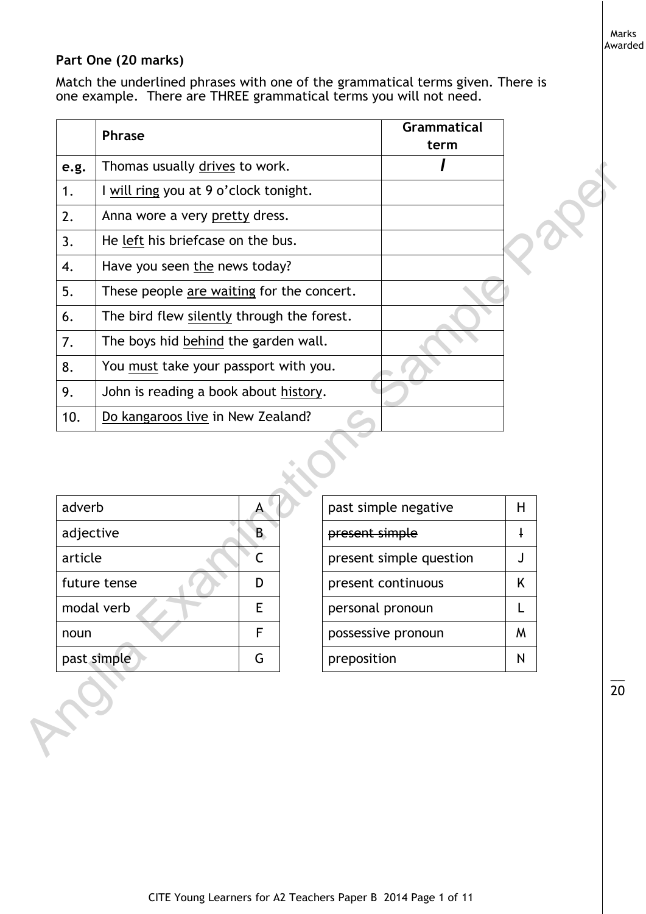Marks Awarded

# **Part One (20 marks)**

Match the underlined phrases with one of the grammatical terms given. There is one example. There are THREE grammatical terms you will not need.

|           | <b>Phrase</b>                              |                  | <b>Grammatical</b><br>term |            |  |
|-----------|--------------------------------------------|------------------|----------------------------|------------|--|
| e.g.      | Thomas usually drives to work.             |                  |                            |            |  |
| 1.        | I will ring you at 9 o'clock tonight.      |                  |                            |            |  |
| 2.        | Anna wore a very pretty dress.             |                  |                            |            |  |
| 3.        | He left his briefcase on the bus.          |                  |                            |            |  |
| 4.        | Have you seen the news today?              |                  |                            |            |  |
| 5.        | These people are waiting for the concert.  |                  |                            |            |  |
| 6.        | The bird flew silently through the forest. |                  |                            |            |  |
| 7.        | The boys hid behind the garden wall.       |                  |                            |            |  |
| 8.        | You must take your passport with you.      |                  |                            |            |  |
|           |                                            |                  |                            |            |  |
| 9.        | John is reading a book about history.      |                  |                            |            |  |
| 10.       | Do kangaroos live in New Zealand?          |                  |                            |            |  |
| adverb    | $\mathsf{A}$                               |                  |                            | H          |  |
| adjective | B                                          | present simple   | past simple negative       | $\ddagger$ |  |
| article   | C                                          |                  | present simple question    | J          |  |
|           | future tense<br>D                          |                  | present continuous         | K          |  |
|           | modal verb<br>Ε                            | personal pronoun |                            | L          |  |
| noun      | F                                          |                  | possessive pronoun         | W          |  |

| adverb       |   | past simple negative    | Н |
|--------------|---|-------------------------|---|
| adjective    | B | present simple          |   |
| article      |   | present simple question |   |
| future tense | D | present continuous      | K |
| modal verb   | E | personal pronoun        |   |
| noun         | F | possessive pronoun      | M |
| past simple  | G | preposition             | N |
|              |   |                         |   |

| past simple negative    | Н            |
|-------------------------|--------------|
| present simple          | ╇            |
| present simple question | $\mathbf{I}$ |
| present continuous      | K            |
| personal pronoun        | L            |
| possessive pronoun      | м            |
| preposition             |              |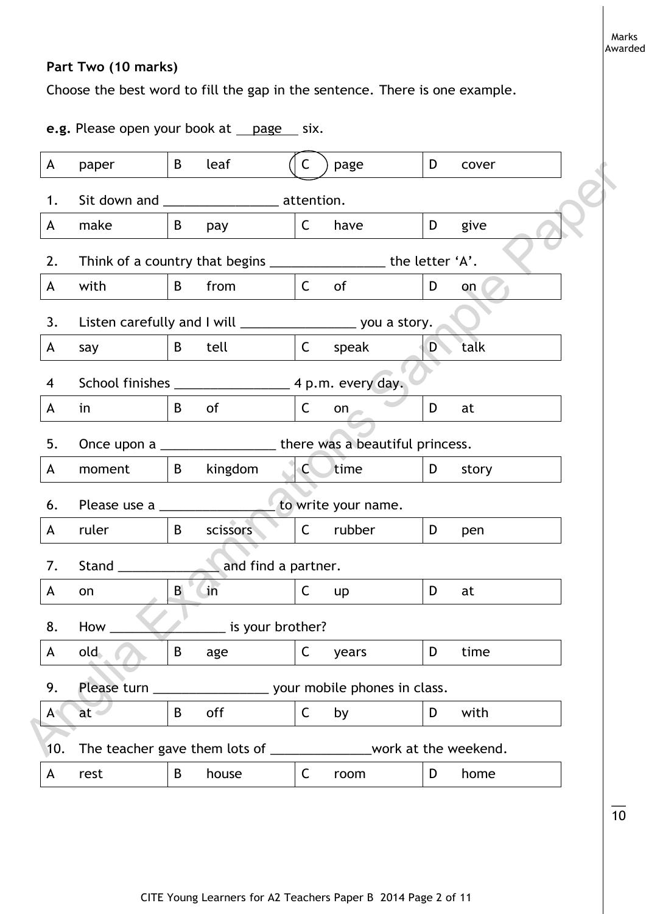# **Part Two (10 marks)**

Choose the best word to fill the gap in the sentence. There is one example.

**e.g.** Please open your book at <u>page</u> six.

| A             | paper            | B            | leaf                                        | C            | page                                                                 | D                            | cover |
|---------------|------------------|--------------|---------------------------------------------|--------------|----------------------------------------------------------------------|------------------------------|-------|
| 1.            |                  |              | Sit down and ___________________ attention. |              |                                                                      |                              |       |
| A             | make             | B            | pay                                         | $\mathsf{C}$ | have                                                                 | D                            | give  |
| 2.            |                  |              |                                             |              | Think of a country that begins _____________________ the letter 'A'. |                              |       |
| A             | with             | $\mathsf{B}$ | from                                        | $\mathsf{C}$ | of                                                                   | D                            | on    |
| 3.            |                  |              |                                             |              | Listen carefully and I will _______________________ you a story.     |                              |       |
| A             | say              | $\mathsf B$  | tell                                        | $\mathsf{C}$ | speak                                                                | $\left\{ D_{\alpha}\right\}$ | talk  |
| 4             |                  |              |                                             |              |                                                                      |                              |       |
| A             | in               | B            | of                                          | $\mathsf{C}$ | on                                                                   | D                            | at    |
| 5.            |                  |              |                                             |              |                                                                      |                              |       |
| A             | moment           | $\mathsf{B}$ | kingdom                                     | C            | time                                                                 | D <sub>a</sub>               | story |
| 6.            | Please use a     |              |                                             |              | to write your name.                                                  |                              |       |
| A             | ruler            | B            | scissors                                    | $\mathsf{C}$ | rubber                                                               | D                            | pen   |
| 7.            | Stand_           |              | and find a partner.                         |              |                                                                      |                              |       |
| A             | on               | B            | $\overline{\mathsf{in}}$                    | $\mathsf{C}$ | <b>up</b>                                                            | D                            | at    |
| 8.            | How              |              | is your brother?                            |              |                                                                      |                              |       |
| A             | old <sub>1</sub> | B            | age                                         | C            | years                                                                | D                            | time  |
| 9.            | Please turn      |              |                                             |              | your mobile phones in class.                                         |                              |       |
| $A \setminus$ | $at -$           | B            | off                                         | $\mathsf C$  | by                                                                   | D                            | with  |
| 10.           |                  |              |                                             |              | The teacher gave them lots of _________________work at the weekend.  |                              |       |
| A             | rest             | B            | house                                       | C            | room                                                                 | D                            | home  |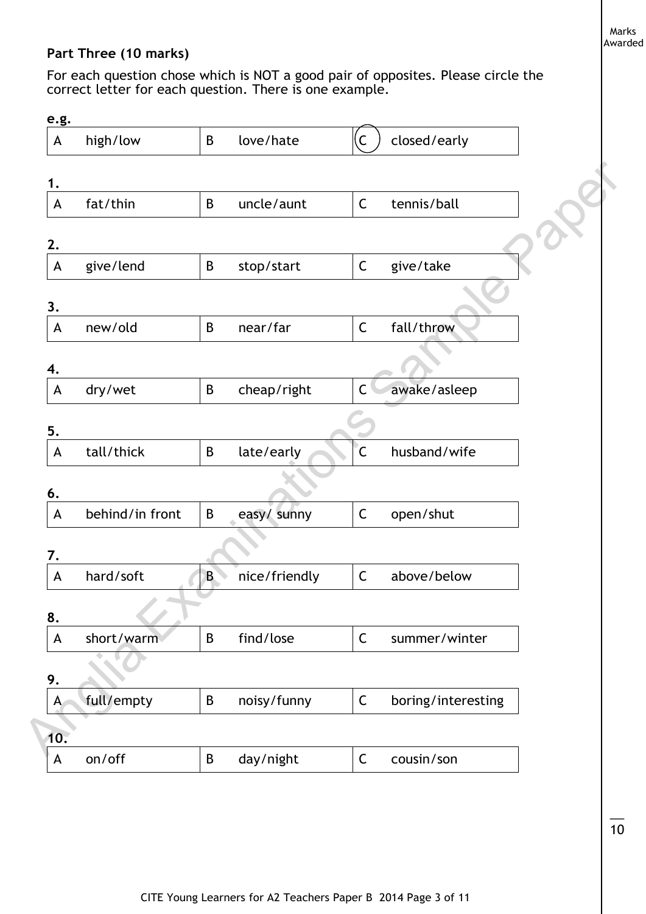# **Part Three (10 marks)**

For each question chose which is NOT a good pair of opposites. Please circle the correct letter for each question. There is one example.

| e.g.         |                 |             |               |                         |                    |
|--------------|-----------------|-------------|---------------|-------------------------|--------------------|
| A            | high/low        | $\mathsf B$ | love/hate     | $\overline{\mathsf{C}}$ | closed/early       |
| 1.           |                 |             |               |                         |                    |
| A            | fat/thin        | B           | uncle/aunt    | $\mathsf C$             | tennis/ball        |
| 2.           |                 |             |               |                         |                    |
| A            | give/lend       | B           | stop/start    | C                       | give/take          |
| 3.           |                 |             |               |                         |                    |
| A            | new/old         | B           | near/far      | $\mathsf C$             | fall/throw         |
| 4.           |                 |             |               |                         |                    |
| A            | dry/wet         | B           | cheap/right   | $\mathsf C$             | awake/asleep       |
| 5.           |                 |             |               |                         |                    |
| A            | tall/thick      | B           | late/early    | $\overline{C}$          | husband/wife       |
| 6.           |                 |             |               |                         |                    |
| A            | behind/in front | $\sf{B}$    | easy/ sunny   | $\mathsf C$             | open/shut          |
| 7.           |                 |             |               |                         |                    |
| A            | hard/soft       | B           | nice/friendly | C                       | above/below        |
| 8.           |                 |             |               |                         |                    |
| A            | short/warm      | $\sf B$     | find/lose     | $\mathsf C$             | summer/winter      |
| 9.           |                 |             |               |                         |                    |
| $\mathsf{A}$ | full/empty      | B           | noisy/funny   | $\mathsf C$             | boring/interesting |
| 10.          |                 |             |               |                         |                    |
| A            | on/off          | B           | day/night     | $\mathsf C$             | cousin/son         |

 $\overline{\phantom{a}}$  $\overline{10}$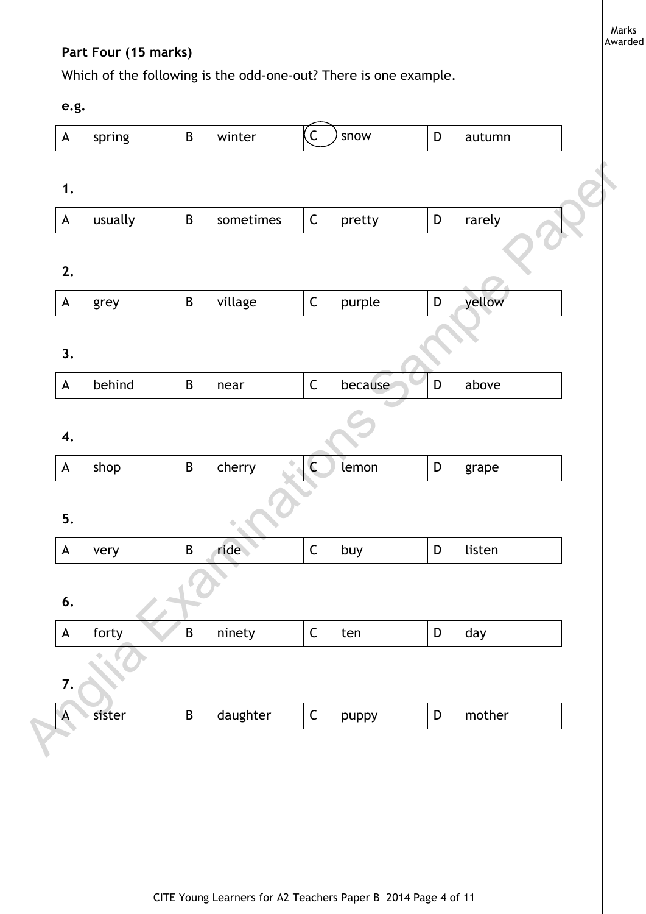# **Part Four (15 marks)**

Which of the following is the odd-one-out? There is one example.

**e.g.** 

| $\boldsymbol{\mathsf{A}}$                                             | spring  | $\sf B$  | winter    | $\overline{C}$ | snow    | D           | autumn |
|-----------------------------------------------------------------------|---------|----------|-----------|----------------|---------|-------------|--------|
| 1.                                                                    |         |          |           |                |         |             |        |
| A                                                                     | usually | $\sf{B}$ | sometimes | $\mathsf C$    | pretty  | $\mathsf D$ | rarely |
| 2.                                                                    |         |          |           |                |         |             |        |
| $\mathsf{A}% _{\mathsf{A}}^{\prime}=\mathsf{A}_{\mathsf{A}}^{\prime}$ | grey    | $\sf B$  | village   | $\mathsf C$    | purple  | $\mathsf D$ | yellow |
| 3.                                                                    |         |          |           |                |         |             |        |
| $\mathsf{A}% _{\mathcal{A}}^{\ast}=\mathsf{A}_{\mathcal{A}}^{\ast}$   | behind  | $\sf B$  | near      | $\mathsf C$    | because | $\mathsf D$ | above  |
| 4.                                                                    |         |          |           |                |         |             |        |
| $\mathsf{A}$                                                          | shop    | $\sf B$  | cherry    | $\mathsf{C}$   | lemon   | D           | grape  |
| 5.                                                                    |         |          |           |                |         |             |        |
| $\mathsf{A}$                                                          | very    | $\sf B$  | ride      | $\mathsf C$    | buy     | $\mathsf D$ | listen |
| 6.                                                                    |         |          |           |                |         |             |        |
| $\mathsf{A}$                                                          | forty   | $\sf B$  | ninety    | $\mathsf C$    | ten     | D           | day    |
|                                                                       |         |          |           |                |         |             |        |
| 7.                                                                    |         |          |           |                |         |             |        |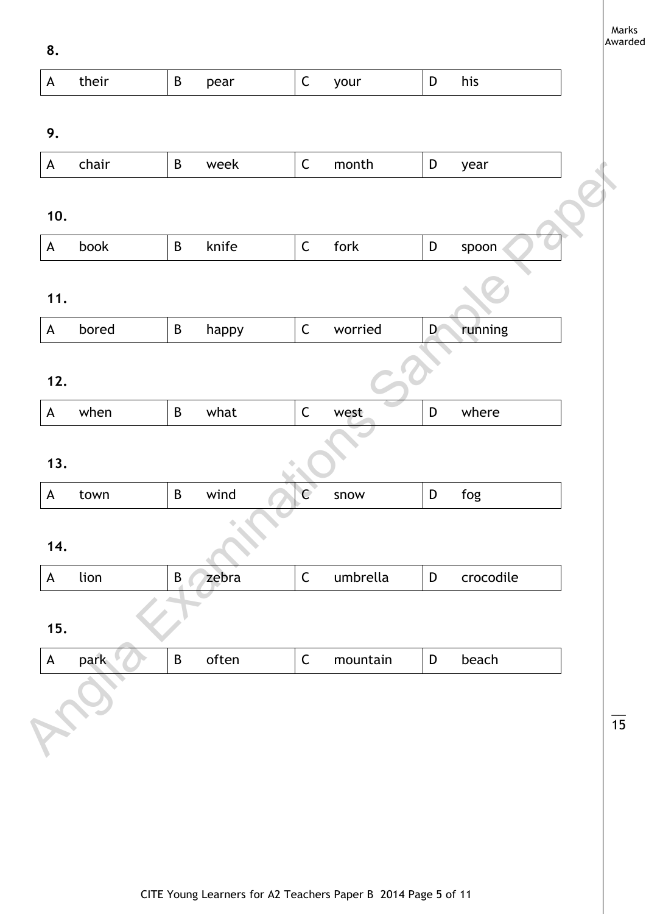**8.**

| crocodile |
|-----------|
|           |
|           |
|           |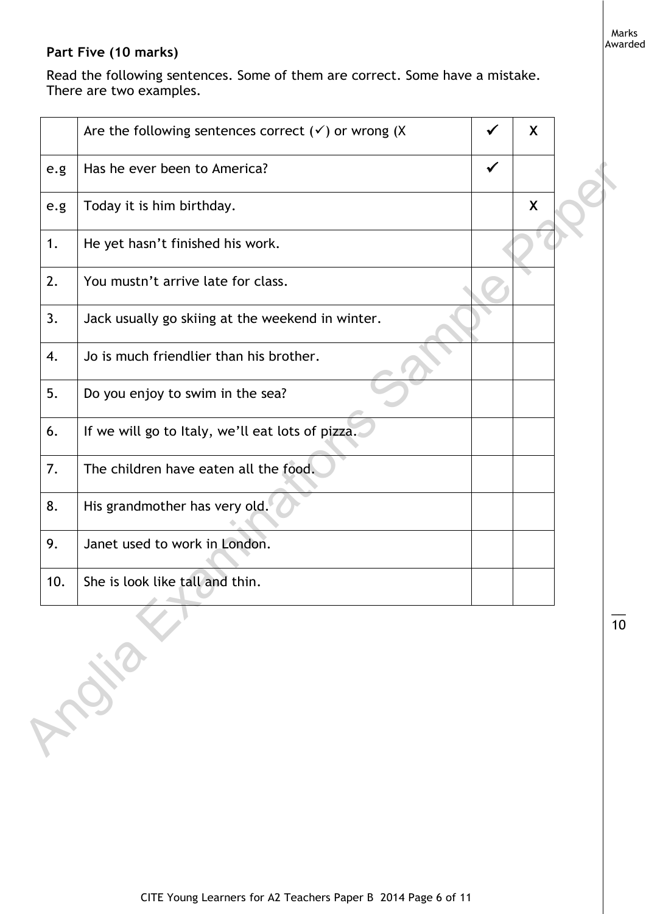# **Part Five (10 marks)**

Read the following sentences. Some of them are correct. Some have a mistake. There are two examples.

|     | Are the following sentences correct $(v)$ or wrong (X |              | X |  |
|-----|-------------------------------------------------------|--------------|---|--|
| e.g | Has he ever been to America?                          | $\checkmark$ |   |  |
| e.g | Today it is him birthday.                             |              | X |  |
| 1.  | He yet hasn't finished his work.                      |              |   |  |
| 2.  | You mustn't arrive late for class.                    |              |   |  |
| 3.  | Jack usually go skiing at the weekend in winter.      |              |   |  |
| 4.  | Jo is much friendlier than his brother.               |              |   |  |
| 5.  | Do you enjoy to swim in the sea?                      |              |   |  |
| 6.  | If we will go to Italy, we'll eat lots of pizza.      |              |   |  |
| 7.  | The children have eaten all the food.                 |              |   |  |
| 8.  | His grandmother has very old.                         |              |   |  |
| 9.  | Janet used to work in London.                         |              |   |  |
| 10. | She is look like tall and thin.                       |              |   |  |
|     | CONSIGNATION                                          |              |   |  |
|     |                                                       |              |   |  |
|     |                                                       |              |   |  |
|     |                                                       |              |   |  |

 $\overline{\phantom{a}}$ 10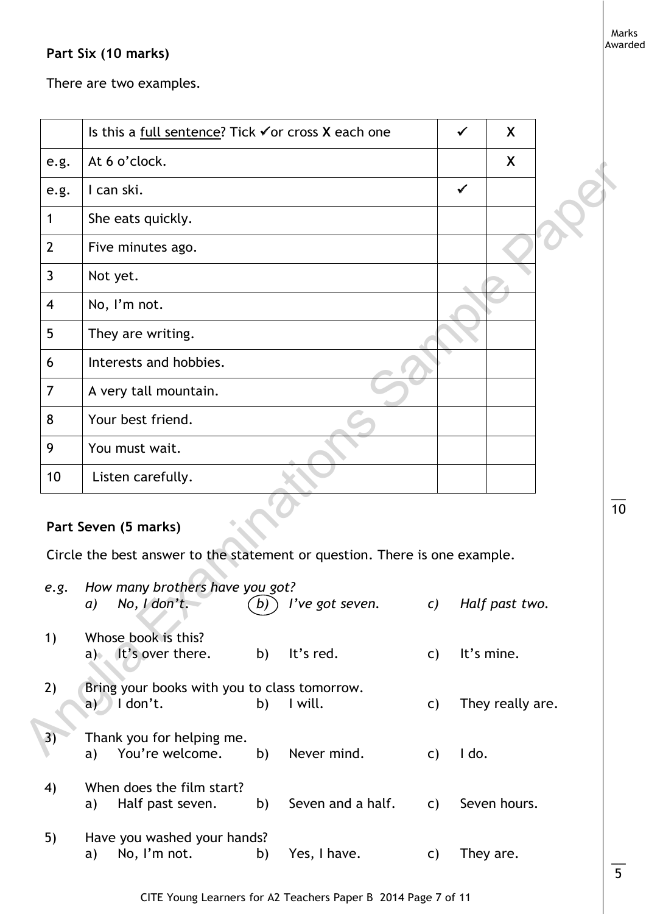## **Part Six (10 marks)**

There are two examples.

|                | Is this a full sentence? Tick $\checkmark$ or cross X each one                                                                                               |    |                                         |    | ✔            | X                |                |
|----------------|--------------------------------------------------------------------------------------------------------------------------------------------------------------|----|-----------------------------------------|----|--------------|------------------|----------------|
| e.g.           | At 6 o'clock.                                                                                                                                                |    |                                         |    |              | X                |                |
| e.g.           | I can ski.                                                                                                                                                   |    |                                         |    | $\checkmark$ |                  |                |
| 1              | She eats quickly.                                                                                                                                            |    |                                         |    |              |                  |                |
| $\overline{2}$ | Five minutes ago.                                                                                                                                            |    |                                         |    |              |                  |                |
| 3              | Not yet.                                                                                                                                                     |    |                                         |    |              |                  |                |
| 4              | No, I'm not.                                                                                                                                                 |    |                                         |    |              |                  |                |
| 5              | They are writing.                                                                                                                                            |    |                                         |    |              |                  |                |
| 6              | Interests and hobbies.                                                                                                                                       |    |                                         |    |              |                  |                |
| $\overline{7}$ | A very tall mountain.                                                                                                                                        |    |                                         |    |              |                  |                |
| 8              | Your best friend.                                                                                                                                            |    |                                         |    |              |                  |                |
| 9              | You must wait.                                                                                                                                               |    |                                         |    |              |                  |                |
| 10             | Listen carefully.                                                                                                                                            |    |                                         |    |              |                  |                |
| e.g.           | Part Seven (5 marks)<br>Circle the best answer to the statement or question. There is one example.<br>How many brothers have you got?<br>$a)$ No, $ldon't$ . |    | $(b)$ l've got seven. c) Half past two. |    |              |                  | 1 <sub>C</sub> |
| 1)             | Whose book is this?<br>a) It's over there.                                                                                                                   | b) | It's red.                               | C) |              | It's mine.       |                |
| 2)             | Bring your books with you to class tomorrow.<br>$a)$   don't.                                                                                                | b) | I will.                                 | C) |              | They really are. |                |
| 3)             | Thank you for helping me.<br>a) You're welcome. b) Never mind.                                                                                               |    |                                         |    | $c)$ $1$ do. |                  |                |

# **Part Seven (5 marks)**

| e.g. | How many brothers have you got?<br>No, I don't.<br>a)          | b) | I've got seven.   | $\mathcal{C}$ ) | Half past two.   |
|------|----------------------------------------------------------------|----|-------------------|-----------------|------------------|
| 1)   | Whose book is this?<br>$a)$ It's over there.                   | b) | It's red.         | C)              | It's mine.       |
| 2)   | Bring your books with you to class tomorrow.<br>I don't.<br>aV | b) | I will.           | C)              | They really are. |
| 3)   | Thank you for helping me.<br>You're welcome.<br>a)             | b) | Never mind.       | C)              | I do.            |
| 4)   | When does the film start?<br>Half past seven.<br>a)            | b) | Seven and a half. | C)              | Seven hours.     |
| 5)   | Have you washed your hands?<br>No, I'm not.<br>a)              | b) | Yes, I have.      | C)              | They are.        |

10

 $\overline{\phantom{a}}$ 

Marks Awarded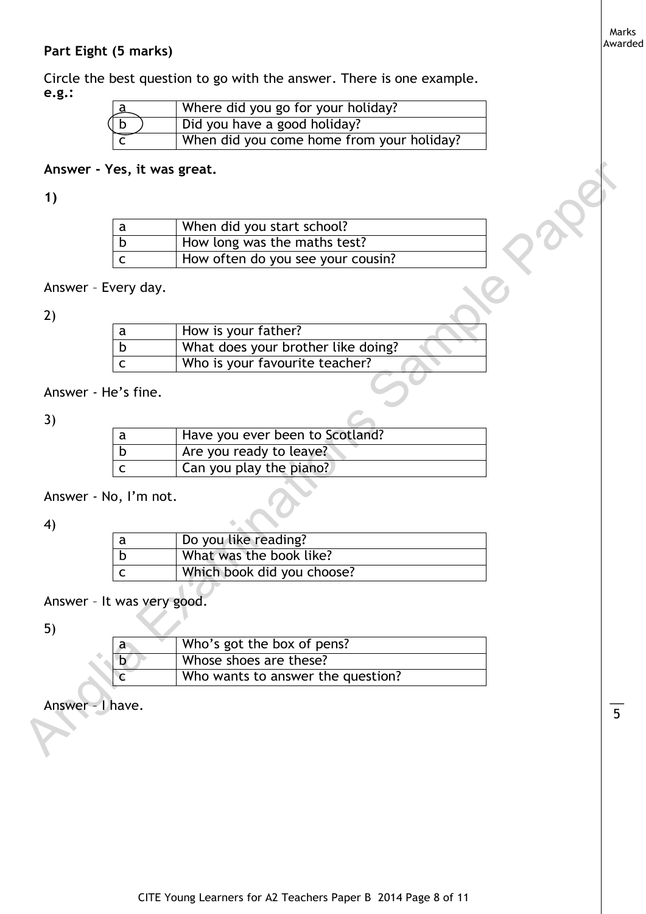#### Marks Awarded

## **Part Eight (5 marks)**

Circle the best question to go with the answer. There is one example. **e.g.:** 

|     | Where did you go for your holiday?        |
|-----|-------------------------------------------|
| ( b | Did you have a good holiday?              |
|     | When did you come home from your holiday? |

# **Answer - Yes, it was great.**

# **1)**

| When did you start school?        |
|-----------------------------------|
| How long was the maths test?      |
| How often do you see your cousin? |

# Answer – Every day.

#### 2)

|                  | a                          | When did you start school?         |
|------------------|----------------------------|------------------------------------|
|                  | $\mathsf b$                | How long was the maths test?       |
|                  | $\mathsf{C}$               | How often do you see your cousin?  |
|                  | Answer - Every day.        |                                    |
|                  |                            |                                    |
| 2)               | a                          | How is your father?                |
|                  | $\mathsf b$                | What does your brother like doing? |
|                  | $\mathsf{C}$               | Who is your favourite teacher?     |
|                  | Answer - He's fine.        |                                    |
|                  |                            |                                    |
| 3)               |                            |                                    |
|                  |                            |                                    |
|                  | a                          | Have you ever been to Scotland?    |
|                  | $\mathsf b$                | Are you ready to leave?            |
|                  | $\mathsf{C}$               | Can you play the piano?            |
|                  |                            |                                    |
|                  | Answer - No, I'm not.      |                                    |
| 4)               |                            |                                    |
|                  | a                          | Do you like reading?               |
|                  | $\mathsf b$                | What was the book like?            |
|                  | $\mathsf{C}$               | Which book did you choose?         |
|                  |                            |                                    |
|                  | Answer - It was very good. |                                    |
| 5)               |                            |                                    |
|                  | $\mathsf{a}$               | Who's got the box of pens?         |
|                  | D                          | Whose shoes are these?             |
|                  | c                          | Who wants to answer the question?  |
| Answer - I have. |                            |                                    |

## Answer - He's fine.

#### 3)

| Have you ever been to Scotland? |
|---------------------------------|
| Are you ready to leave?         |
| Can you play the piano?         |

## Answer - No, I'm not.

## 4)

| Do you like reading?       |
|----------------------------|
| What was the book like?    |
| Which book did you choose? |

# Answer – It was very good.

# 5)

| a      | Who's got the box of pens?        |
|--------|-----------------------------------|
| h<br>ш | Whose shoes are these?            |
|        | Who wants to answer the question? |

# Answer – I have.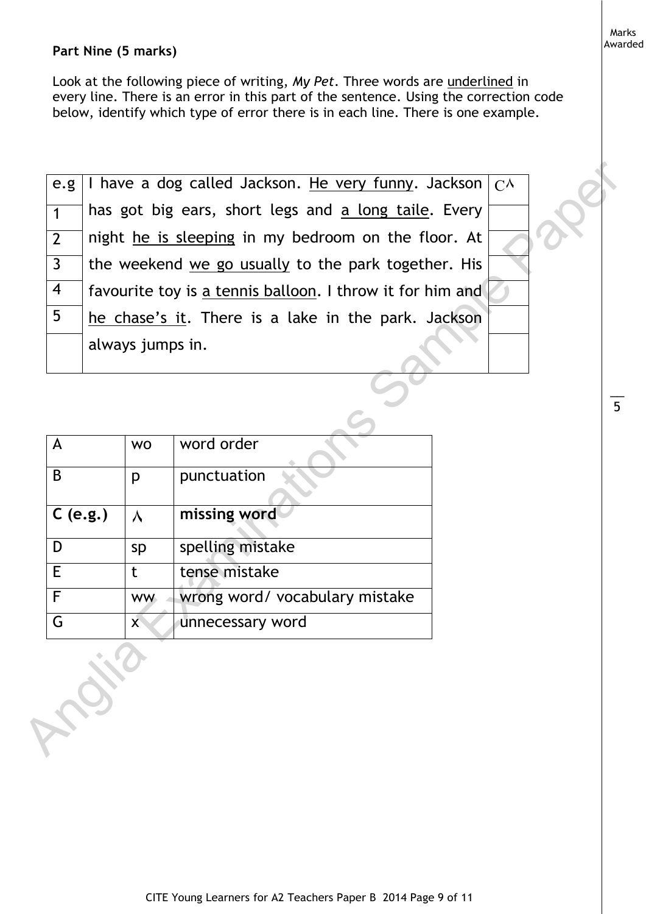## **Part Nine (5 marks)**

Look at the following piece of writing, *My Pet*. Three words are underlined in every line. There is an error in this part of the sentence. Using the correction code below, identify which type of error there is in each line. There is one example.

| e.g.           |              | I have a dog called Jackson. He very funny. Jackson $\int C^{\Lambda}$ |                                                           |  |  |  |  |  |  |
|----------------|--------------|------------------------------------------------------------------------|-----------------------------------------------------------|--|--|--|--|--|--|
| $\mathbf{1}$   |              | has got big ears, short legs and a long taile. Every                   |                                                           |  |  |  |  |  |  |
| $\overline{2}$ |              |                                                                        | night he is sleeping in my bedroom on the floor. At       |  |  |  |  |  |  |
| $\mathsf{3}$   |              |                                                                        | the weekend we go usually to the park together. His       |  |  |  |  |  |  |
| 4              |              |                                                                        | favourite toy is a tennis balloon. I throw it for him and |  |  |  |  |  |  |
| 5              |              |                                                                        | he chase's it. There is a lake in the park. Jackson       |  |  |  |  |  |  |
|                |              | always jumps in.                                                       |                                                           |  |  |  |  |  |  |
|                |              |                                                                        |                                                           |  |  |  |  |  |  |
|                |              |                                                                        |                                                           |  |  |  |  |  |  |
| A              |              | <b>WO</b>                                                              | word order                                                |  |  |  |  |  |  |
| B              |              | p                                                                      | punctuation                                               |  |  |  |  |  |  |
| C(e.g.)        |              | $\lambda$                                                              | missing word                                              |  |  |  |  |  |  |
| D              |              | sp                                                                     | spelling mistake                                          |  |  |  |  |  |  |
| E.             |              | t                                                                      | tense mistake                                             |  |  |  |  |  |  |
| $\overline{F}$ |              | <b>WW</b>                                                              | wrong word/ vocabulary mistake                            |  |  |  |  |  |  |
| G              |              |                                                                        | unnecessary word                                          |  |  |  |  |  |  |
|                | <b>ABIST</b> |                                                                        |                                                           |  |  |  |  |  |  |

|            | <b>WO</b>    | word order                     |
|------------|--------------|--------------------------------|
|            |              |                                |
| B          | р            | punctuation                    |
|            |              |                                |
| $C$ (e.g.) | ٨            | missing word                   |
|            |              |                                |
| D          | sp           | spelling mistake               |
| E          | t            | tense mistake                  |
|            |              |                                |
| F          | <b>WW</b>    | wrong word/ vocabulary mistake |
| G          | $\mathsf{X}$ | unnecessary word               |
|            |              |                                |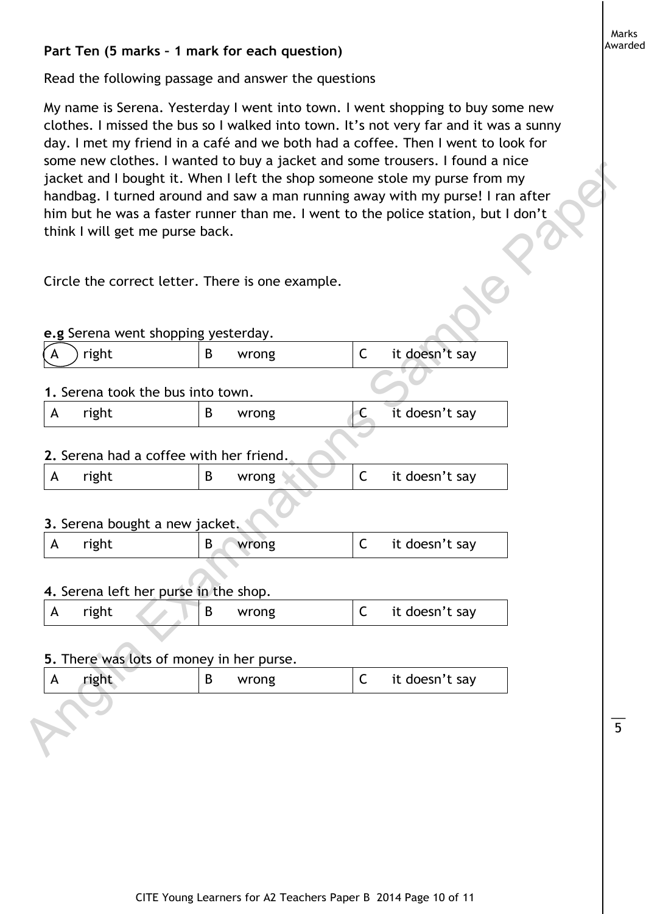# **Part Ten (5 marks – 1 mark for each question)**

Read the following passage and answer the questions

My name is Serena. Yesterday I went into town. I went shopping to buy some new clothes. I missed the bus so I walked into town. It's not very far and it was a sunny day. I met my friend in a café and we both had a coffee. Then I went to look for some new clothes. I wanted to buy a jacket and some trousers. I found a nice jacket and I bought it. When I left the shop someone stole my purse from my handbag. I turned around and saw a man running away with my purse! I ran after him but he was a faster runner than me. I went to the police station, but I don't think I will get me purse back. Solutions: I wanted to looy a jake-te and solve the shop someone stole my purse from my<br>handbag, I turned are than the shop someone stole my purse from my<br>handbag, I turned are and are a man running away with my purse! I r

Circle the correct letter. There is one example.

|  |  |  |  | e.g Serena went shopping yesterday. |
|--|--|--|--|-------------------------------------|
|--|--|--|--|-------------------------------------|

| ↙<br>IΑ<br>↖ | right | wrong | it doesn't say |  |
|--------------|-------|-------|----------------|--|
|              |       |       |                |  |

#### **1.** Serena took the bus into town.

| right | wrong |  | it doesn't say |
|-------|-------|--|----------------|
|       |       |  |                |

## **2.** Serena had a coffee with her friend.

| right | wrong | it doesn't say |
|-------|-------|----------------|
|       |       |                |

# **3.** Serena bought a new jacket.

| right | wrong | it doesn't say |
|-------|-------|----------------|
|       |       |                |

# **4.** Serena left her purse in the shop.

| right |  | wrong | ∼ | c doesn't say<br>ıt |
|-------|--|-------|---|---------------------|
|       |  |       |   |                     |

#### **5.** There was lots of money in her purse.

| right | wrong | it doesn't say |
|-------|-------|----------------|
|       |       |                |